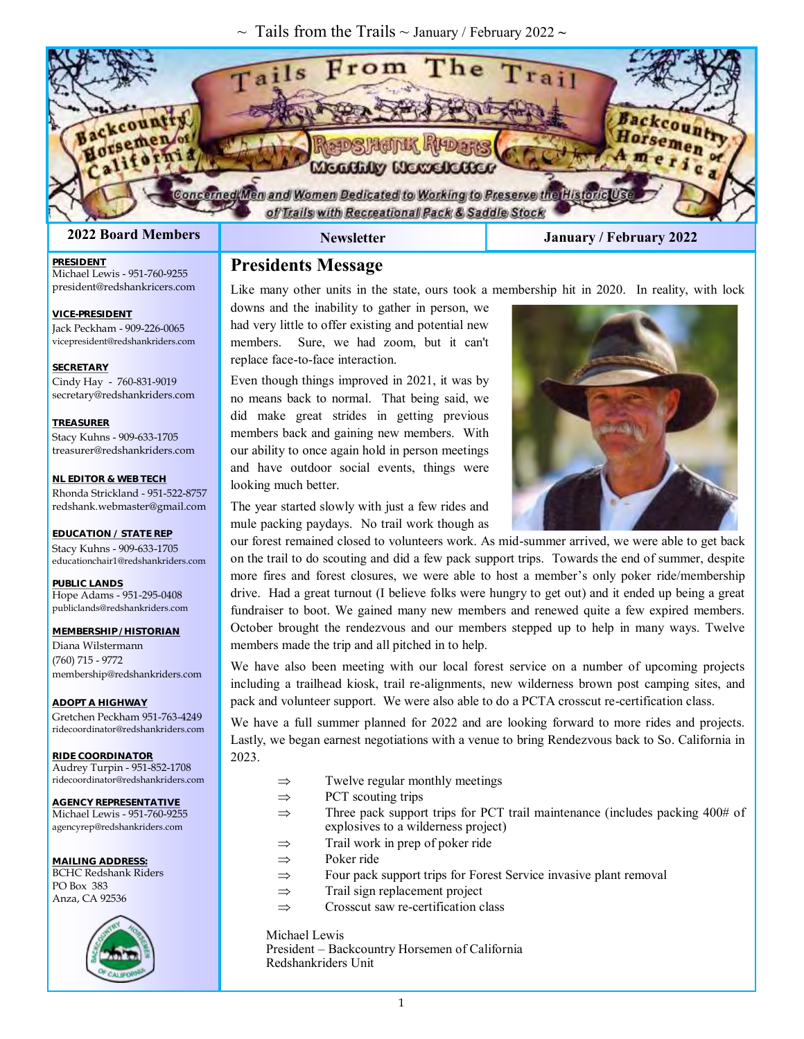~ Tails from the Trails ~ January / February 2022 **~**



Michael Lewis - 951-760-9255 president@redshankricers.com

Jack Peckham - 909-226-0065 vicepresident@redshankriders.com

Cindy Hay - 760-831-9019 secretary@redshankriders.com

Stacy Kuhns - 909-633-1705 treasurer@redshankriders.com

**NL EDITOR & WEB TECH** Rhonda Strickland - 951-522-8757 redshank.webmaster@gmail.com

**EDUCATION / STATE REP** Stacy Kuhns - 909-633-1705 educationchair1@redshankriders.com

**PRESIDENT** 

**SECRETARY**

**TREASURER**

**VICE-PRESIDENT** 

#### **2022 Board Members Newsletter January / February 2022**

#### **Presidents Message**

Like many other units in the state, ours took a membership hit in 2020. In reality, with lock

downs and the inability to gather in person, we had very little to offer existing and potential new members. Sure, we had zoom, but it can't replace face-to-face interaction.

Even though things improved in 2021, it was by no means back to normal. That being said, we did make great strides in getting previous members back and gaining new members. With our ability to once again hold in person meetings and have outdoor social events, things were looking much better.



The year started slowly with just a few rides and mule packing paydays. No trail work though as

our forest remained closed to volunteers work. As mid-summer arrived, we were able to get back on the trail to do scouting and did a few pack support trips. Towards the end of summer, despite more fires and forest closures, we were able to host a member's only poker ride/membership drive. Had a great turnout (I believe folks were hungry to get out) and it ended up being a great fundraiser to boot. We gained many new members and renewed quite a few expired members. October brought the rendezvous and our members stepped up to help in many ways. Twelve members made the trip and all pitched in to help.

We have also been meeting with our local forest service on a number of upcoming projects including a trailhead kiosk, trail re-alignments, new wilderness brown post camping sites, and pack and volunteer support. We were also able to do a PCTA crosscut re-certification class.

We have a full summer planned for 2022 and are looking forward to more rides and projects. Lastly, we began earnest negotiations with a venue to bring Rendezvous back to So. California in 2023.

- $\Rightarrow$  Twelve regular monthly meetings
- $\Rightarrow$  PCT scouting trips
- $\Rightarrow$  Three pack support trips for PCT trail maintenance (includes packing 400# of explosives to a wilderness project)
- $\Rightarrow$  Trail work in prep of poker ride
- $\Rightarrow$  Poker ride
- $\Rightarrow$  Four pack support trips for Forest Service invasive plant removal
- $\Rightarrow$  Trail sign replacement project
- $\Rightarrow$  Crosscut saw re-certification class

Michael Lewis President – Backcountry Horsemen of California Redshankriders Unit

**PUBLIC LANDS** Hope Adams - 951-295-0408 publiclands@redshankriders.com

**MEMBERSHIP / HISTORIAN** Diana Wilstermann (760) 715 - 9772 membership@redshankriders.com

**ADOPT A HIGHWAY** Gretchen Peckham 951-763-4249 ridecoordinator@redshankriders.com

**RIDE COORDINATOR** Audrey Turpin - 951-852-1708 ridecoordinator@redshankriders.com

**AGENCY REPRESENTATIVE** Michael Lewis - 951-760-9255 agencyrep@redshankriders.com

**MAILING ADDRESS:** BCHC Redshank Riders PO Box 383 Anza, CA 92536

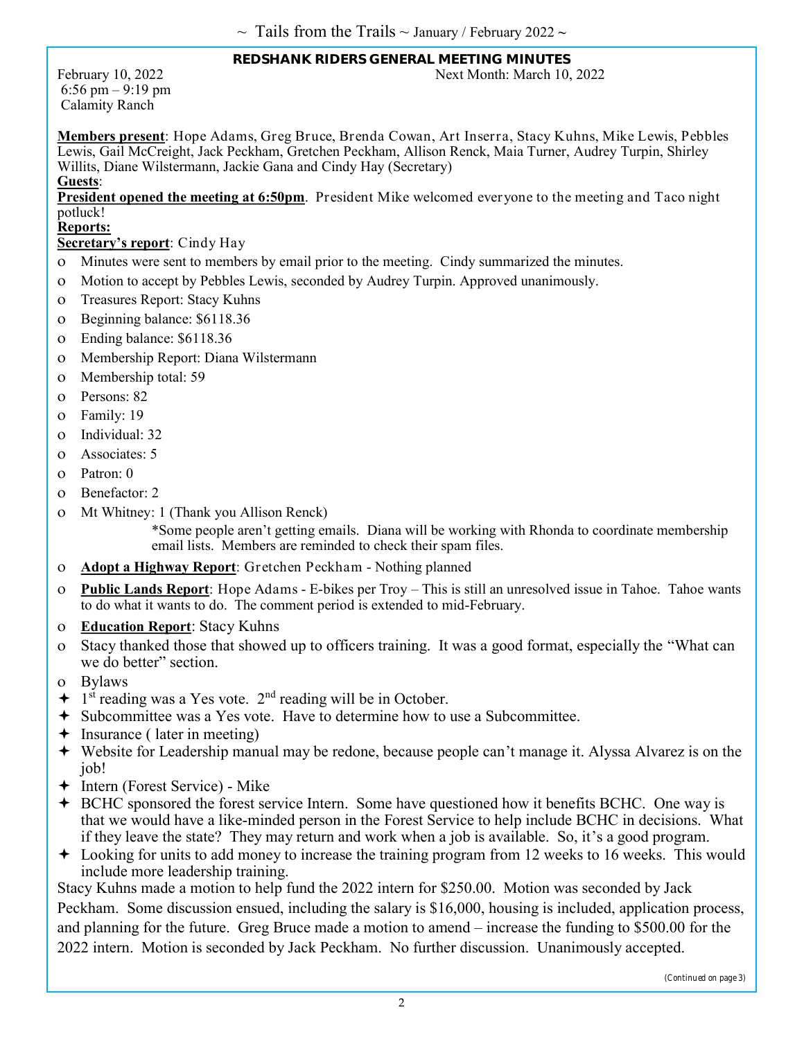#### **REDSHANK RIDERS GENERAL MEETING MINUTES**  February 10, 2022 Next Month: March 10, 2022

6:56 pm – 9:19 pm Calamity Ranch

**Members present**: Hope Adams, Greg Bruce, Brenda Cowan, Art Inserra, Stacy Kuhns, Mike Lewis, Pebbles Lewis, Gail McCreight, Jack Peckham, Gretchen Peckham, Allison Renck, Maia Turner, Audrey Turpin, Shirley Willits, Diane Wilstermann, Jackie Gana and Cindy Hay (Secretary) **Guests**:

**President opened the meeting at 6:50pm**. President Mike welcomed everyone to the meeting and Taco night potluck!

#### **Reports:**

#### **Secretary's report**: Cindy Hay

- Minutes were sent to members by email prior to the meeting. Cindy summarized the minutes.
- Motion to accept by Pebbles Lewis, seconded by Audrey Turpin. Approved unanimously.
- Treasures Report: Stacy Kuhns
- Beginning balance: \$6118.36
- Ending balance: \$6118.36
- Membership Report: Diana Wilstermann
- Membership total: 59
- Persons: 82
- Family: 19
- Individual: 32
- Associates: 5
- Patron: 0
- Benefactor: 2
- Mt Whitney: 1 (Thank you Allison Renck)

\*Some people aren't getting emails. Diana will be working with Rhonda to coordinate membership email lists. Members are reminded to check their spam files.

- **Adopt a Highway Report**: Gretchen Peckham Nothing planned
- **Public Lands Report**: Hope Adams E-bikes per Troy This is still an unresolved issue in Tahoe. Tahoe wants to do what it wants to do. The comment period is extended to mid-February.
- **Education Report**: Stacy Kuhns
- Stacy thanked those that showed up to officers training. It was a good format, especially the "What can we do better" section.
- Bylaws
- $+$  1<sup>st</sup> reading was a Yes vote. 2<sup>nd</sup> reading will be in October.
- Subcommittee was a Yes vote. Have to determine how to use a Subcommittee.
- $\div$  Insurance ( later in meeting)
- Website for Leadership manual may be redone, because people can't manage it. Alyssa Alvarez is on the job!
- Intern (Forest Service) Mike
- BCHC sponsored the forest service Intern. Some have questioned how it benefits BCHC. One way is that we would have a like-minded person in the Forest Service to help include BCHC in decisions. What if they leave the state? They may return and work when a job is available. So, it's a good program.
- Looking for units to add money to increase the training program from 12 weeks to 16 weeks. This would include more leadership training.

Stacy Kuhns made a motion to help fund the 2022 intern for \$250.00. Motion was seconded by Jack Peckham. Some discussion ensued, including the salary is \$16,000, housing is included, application process, and planning for the future. Greg Bruce made a motion to amend – increase the funding to \$500.00 for the 2022 intern. Motion is seconded by Jack Peckham. No further discussion. Unanimously accepted.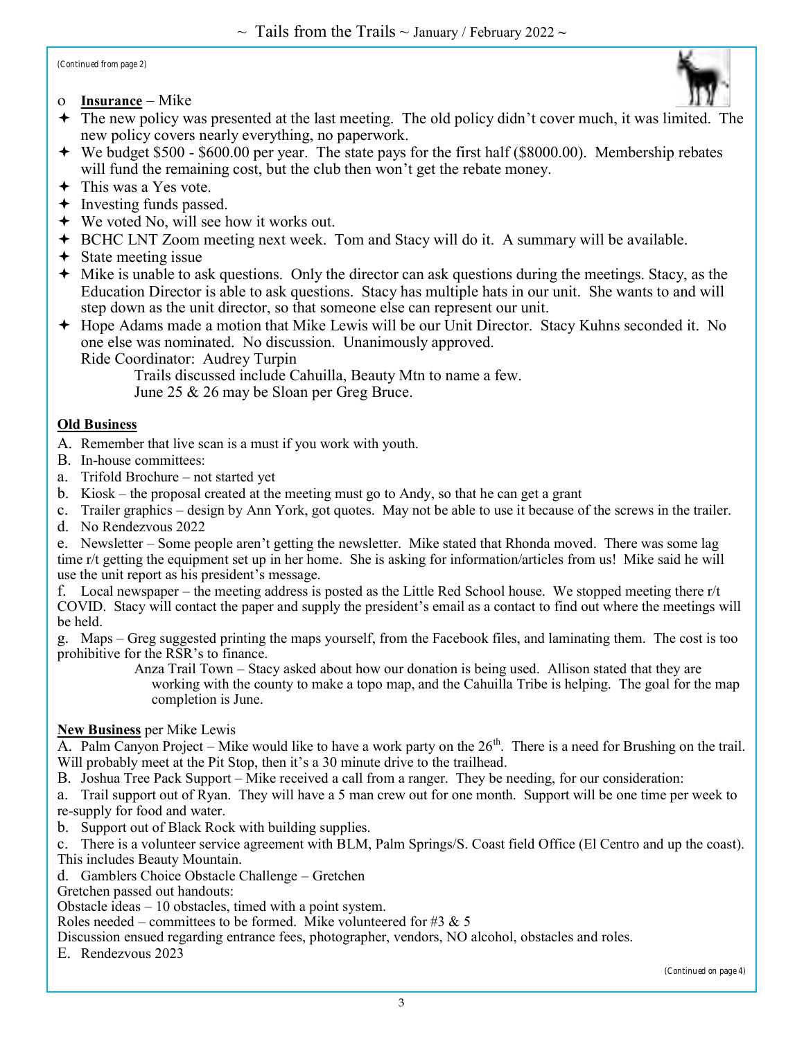$\sim$  Tails from the Trails  $\sim$  January / February 2022  $\sim$ 

*(Continued from page 2)*

**Insurance** – Mike



- The new policy was presented at the last meeting. The old policy didn't cover much, it was limited. The new policy covers nearly everything, no paperwork.
- We budget \$500 \$600.00 per year. The state pays for the first half (\$8000.00). Membership rebates will fund the remaining cost, but the club then won't get the rebate money.
- $\div$  This was a Yes vote.
- $\div$  Investing funds passed.
- We voted No, will see how it works out.
- BCHC LNT Zoom meeting next week. Tom and Stacy will do it. A summary will be available.
- $\div$  State meeting issue
- Mike is unable to ask questions. Only the director can ask questions during the meetings. Stacy, as the Education Director is able to ask questions. Stacy has multiple hats in our unit. She wants to and will step down as the unit director, so that someone else can represent our unit.
- Hope Adams made a motion that Mike Lewis will be our Unit Director. Stacy Kuhns seconded it. No one else was nominated. No discussion. Unanimously approved.
	- Ride Coordinator: Audrey Turpin

Trails discussed include Cahuilla, Beauty Mtn to name a few.

June 25 & 26 may be Sloan per Greg Bruce.

#### **Old Business**

A. Remember that live scan is a must if you work with youth.

- B. In-house committees:
- a. Trifold Brochure not started yet
- b. Kiosk the proposal created at the meeting must go to Andy, so that he can get a grant
- c. Trailer graphics design by Ann York, got quotes. May not be able to use it because of the screws in the trailer.
- d. No Rendezvous 2022

e. Newsletter – Some people aren't getting the newsletter. Mike stated that Rhonda moved. There was some lag time r/t getting the equipment set up in her home. She is asking for information/articles from us! Mike said he will use the unit report as his president's message.

f. Local newspaper – the meeting address is posted as the Little Red School house. We stopped meeting there r/t COVID. Stacy will contact the paper and supply the president's email as a contact to find out where the meetings will be held.

g. Maps – Greg suggested printing the maps yourself, from the Facebook files, and laminating them. The cost is too prohibitive for the RSR's to finance.

Anza Trail Town – Stacy asked about how our donation is being used. Allison stated that they are working with the county to make a topo map, and the Cahuilla Tribe is helping. The goal for the map completion is June.

#### **New Business** per Mike Lewis

A. Palm Canyon Project – Mike would like to have a work party on the  $26<sup>th</sup>$ . There is a need for Brushing on the trail. Will probably meet at the Pit Stop, then it's a 30 minute drive to the trailhead.

B. Joshua Tree Pack Support – Mike received a call from a ranger. They be needing, for our consideration:

a. Trail support out of Ryan. They will have a 5 man crew out for one month. Support will be one time per week to re-supply for food and water.

b. Support out of Black Rock with building supplies.

c. There is a volunteer service agreement with BLM, Palm Springs/S. Coast field Office (El Centro and up the coast). This includes Beauty Mountain.

d. Gamblers Choice Obstacle Challenge – Gretchen

Gretchen passed out handouts:

Obstacle ideas – 10 obstacles, timed with a point system.

Roles needed – committees to be formed. Mike volunteered for #3  $\&$  5

Discussion ensued regarding entrance fees, photographer, vendors, NO alcohol, obstacles and roles.

E. Rendezvous 2023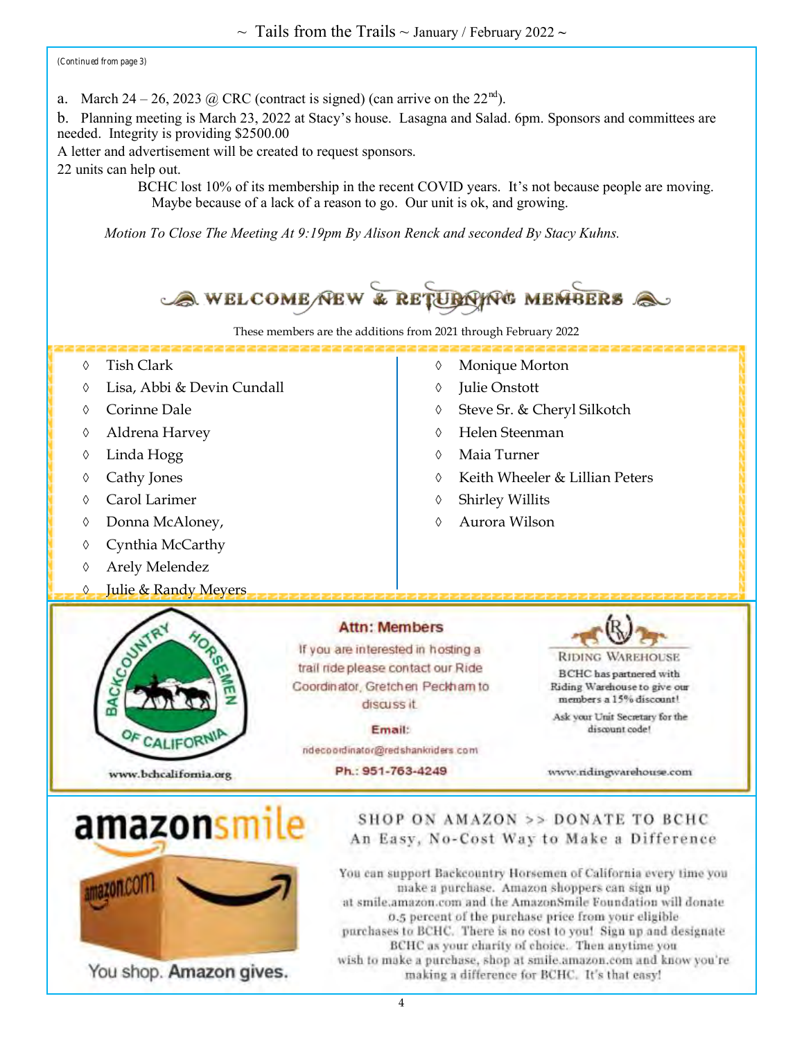$\sim$  Tails from the Trails  $\sim$  January / February 2022  $\sim$ 

*(Continued from page 3)*

a. March 24 – 26, 2023 @ CRC (contract is signed) (can arrive on the  $22<sup>nd</sup>$ ).

b. Planning meeting is March 23, 2022 at Stacy's house. Lasagna and Salad. 6pm. Sponsors and committees are needed. Integrity is providing \$2500.00

A letter and advertisement will be created to request sponsors.

You shop. Amazon gives.

22 units can help out.

BCHC lost 10% of its membership in the recent COVID years. It's not because people are moving. Maybe because of a lack of a reason to go. Our unit is ok, and growing.

*Motion To Close The Meeting At 9:19pm By Alison Renck and seconded By Stacy Kuhns.*



make a purchase. Amazon shoppers can sign up at smile.amazon.com and the AmazonSmile Foundation will donate 0.5 percent of the purchase price from your eligible purchases to BCHC. There is no cost to you! Sign up and designate BCHC as your charity of choice. Then anytime you wish to make a purchase, shop at smile.amazon.com and know you're making a difference for BCHC. It's that easy!

4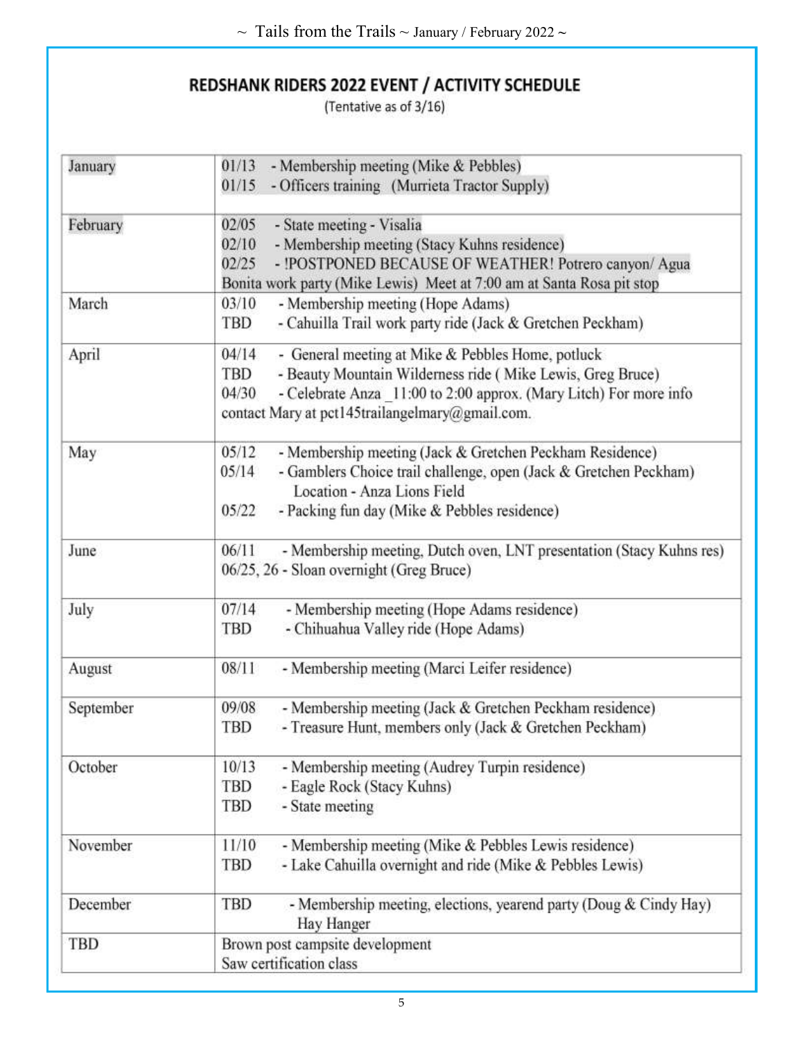(Tentative as of 3/16)

| January   | - Membership meeting (Mike & Pebbles)<br>01/13                                                |
|-----------|-----------------------------------------------------------------------------------------------|
|           | 01/15<br>- Officers training (Murrieta Tractor Supply)                                        |
| February  | 02/05<br>- State meeting - Visalia                                                            |
|           | 02/10<br>- Membership meeting (Stacy Kuhns residence)                                         |
|           | 02/25<br>- !POSTPONED BECAUSE OF WEATHER! Potrero canyon/ Agua                                |
|           | Bonita work party (Mike Lewis) Meet at 7:00 am at Santa Rosa pit stop                         |
| March     | 03/10<br>- Membership meeting (Hope Adams)                                                    |
|           | - Cahuilla Trail work party ride (Jack & Gretchen Peckham)<br>TBD                             |
| April     | 04/14<br>- General meeting at Mike & Pebbles Home, potluck                                    |
|           | - Beauty Mountain Wilderness ride (Mike Lewis, Greg Bruce)<br><b>TBD</b>                      |
|           | - Celebrate Anza 11:00 to 2:00 approx. (Mary Litch) For more info<br>04/30                    |
|           | contact Mary at pct145trailangelmary@gmail.com.                                               |
| May       | 05/12<br>- Membership meeting (Jack & Gretchen Peckham Residence)                             |
|           | - Gamblers Choice trail challenge, open (Jack & Gretchen Peckham)<br>05/14                    |
|           | Location - Anza Lions Field                                                                   |
|           | 05/22<br>- Packing fun day (Mike & Pebbles residence)                                         |
| June      | 06/11<br>- Membership meeting, Dutch oven, LNT presentation (Stacy Kuhns res)                 |
|           | 06/25, 26 - Sloan overnight (Greg Bruce)                                                      |
| July      | 07/14<br>- Membership meeting (Hope Adams residence)                                          |
|           | - Chihuahua Valley ride (Hope Adams)<br>TBD                                                   |
| August    | - Membership meeting (Marci Leifer residence)<br>08/11                                        |
| September | 09/08<br>- Membership meeting (Jack & Gretchen Peckham residence)                             |
|           | - Treasure Hunt, members only (Jack & Gretchen Peckham)<br>TBD                                |
| October   | - Membership meeting (Audrey Turpin residence)<br>10/13                                       |
|           | - Eagle Rock (Stacy Kuhns)<br>TBD                                                             |
|           | - State meeting<br><b>TBD</b>                                                                 |
| November  | 11/10<br>- Membership meeting (Mike & Pebbles Lewis residence)                                |
|           | - Lake Cahuilla overnight and ride (Mike & Pebbles Lewis)<br>TBD                              |
| December  | <b>TBD</b><br>- Membership meeting, elections, yearend party (Doug & Cindy Hay)<br>Hay Hanger |
| TBD       | Brown post campsite development                                                               |
|           | Saw certification class                                                                       |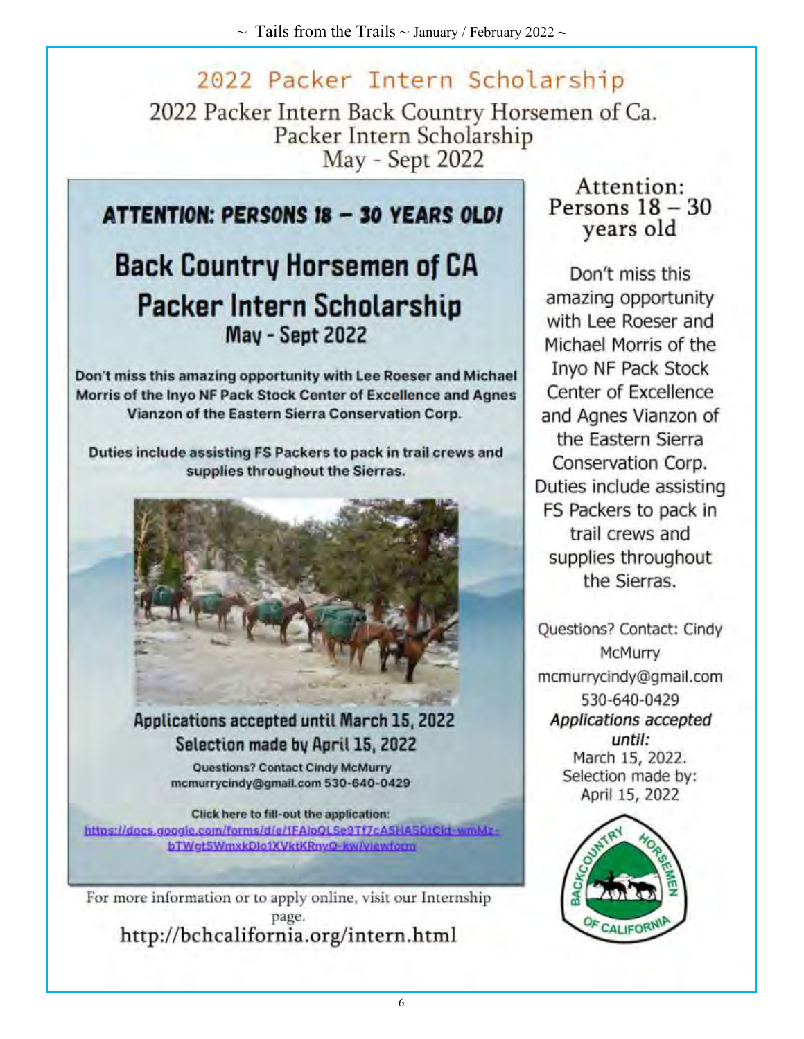## 2022 Packer Intern Scholarship

2022 Packer Intern Back Country Horsemen of Ca. Packer Intern Scholarship May - Sept 2022

### **ATTENTION: PERSONS 18 - 30 YEARS OLDI**

## **Back Country Horsemen of CA Packer Intern Scholarship May - Sept 2022**

Don't miss this amazing opportunity with Lee Roeser and Michael Morris of the Inyo NF Pack Stock Center of Excellence and Agnes Vianzon of the Eastern Sierra Conservation Corp.

Duties include assisting FS Packers to pack in trail crews and supplies throughout the Sierras.



#### **Applications accepted until March 15, 2022** Selection made by April 15, 2022

Questions? Contact Cindy McMurry mcmurrycindy@gmail.com 530-640-0429

Click here to fill-out the application: https://docs.google.com/forms/d/e/1FAlpQLSe9Tf7cA5HA5DtCkt-wmMzbTWgtSWmxkDlo1XVktKRnyO-kw/viewform

For more information or to apply online, visit our Internship page. http://bchcalifornia.org/intern.html

#### Attention: Persons  $18 - 30$ years old

Don't miss this amazing opportunity with Lee Roeser and Michael Morris of the Inyo NF Pack Stock Center of Excellence and Agnes Vianzon of the Eastern Sierra Conservation Corp. Duties include assisting FS Packers to pack in trail crews and supplies throughout the Sierras.

**Questions? Contact: Cindy** McMurry mcmurrycindy@gmail.com 530-640-0429 Applications accepted until: March 15, 2022. Selection made by: April 15, 2022

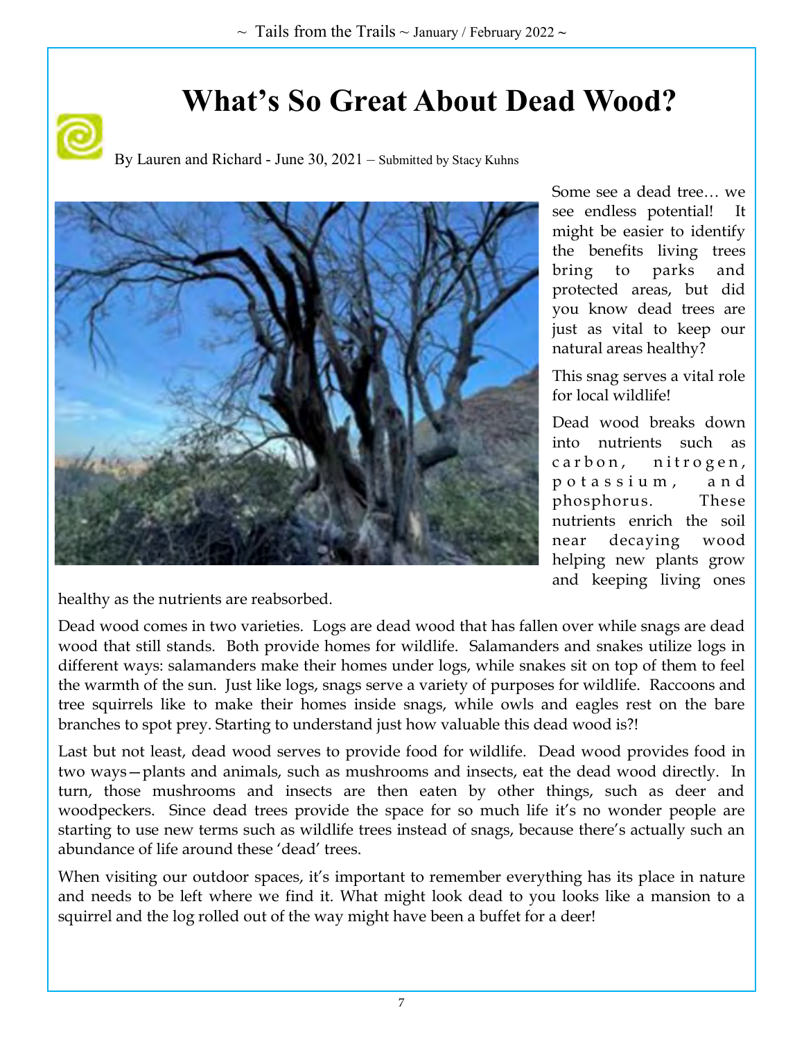# **What's So Great About Dead Wood?**





Some see a dead tree… we see endless potential! It might be easier to identify the benefits living trees bring to parks and protected areas, but did you know dead trees are just as vital to keep our natural areas healthy?

This snag serves a vital role for local wildlife!

Dead wood breaks down into nutrients such as carbon, nitrogen, p o t a s s i u m , a n d phosphorus. These nutrients enrich the soil near decaying wood helping new plants grow and keeping living ones

healthy as the nutrients are reabsorbed.

Dead wood comes in two varieties. Logs are dead wood that has fallen over while snags are dead wood that still stands. Both provide homes for wildlife. Salamanders and snakes utilize logs in different ways: salamanders make their homes under logs, while snakes sit on top of them to feel the warmth of the sun. Just like logs, snags serve a variety of purposes for wildlife. Raccoons and tree squirrels like to make their homes inside snags, while owls and eagles rest on the bare branches to spot prey. Starting to understand just how valuable this dead wood is?!

Last but not least, dead wood serves to provide food for wildlife. Dead wood provides food in two ways—plants and animals, such as mushrooms and insects, eat the dead wood directly. In turn, those mushrooms and insects are then eaten by other things, such as deer and woodpeckers. Since dead trees provide the space for so much life it's no wonder people are starting to use new terms such as wildlife trees instead of snags, because there's actually such an abundance of life around these 'dead' trees.

When visiting our outdoor spaces, it's important to remember everything has its place in nature and needs to be left where we find it. What might look dead to you looks like a mansion to a squirrel and the log rolled out of the way might have been a buffet for a deer!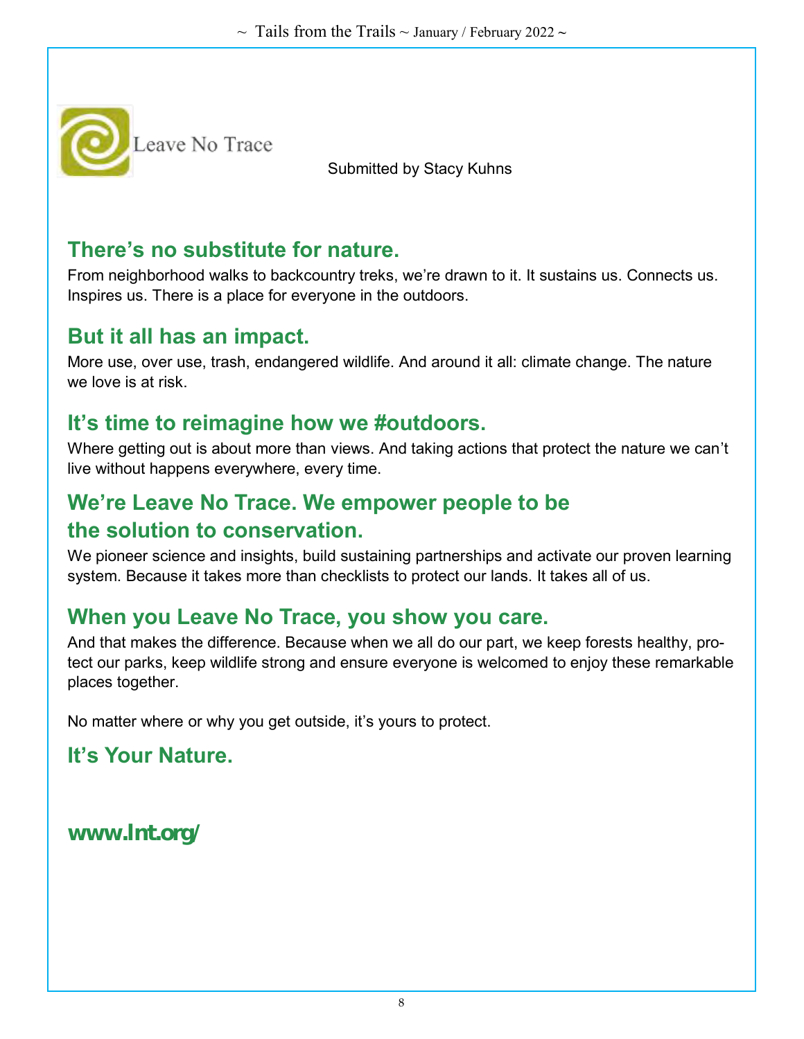

Submitted by Stacy Kuhns

#### **There's no substitute for nature.**

From neighborhood walks to backcountry treks, we're drawn to it. It sustains us. Connects us. Inspires us. There is a place for everyone in the outdoors.

#### **But it all has an impact.**

More use, over use, trash, endangered wildlife. And around it all: climate change. The nature we love is at risk.

#### **It's time to reimagine how we #outdoors.**

Where getting out is about more than views. And taking actions that protect the nature we can't live without happens everywhere, every time.

#### **We're Leave No Trace. We empower people to be the solution to conservation.**

We pioneer science and insights, build sustaining partnerships and activate our proven learning system. Because it takes more than checklists to protect our lands. It takes all of us.

#### **When you Leave No Trace, you show you care.**

And that makes the difference. Because when we all do our part, we keep forests healthy, protect our parks, keep wildlife strong and ensure everyone is welcomed to enjoy these remarkable places together.

No matter where or why you get outside, it's yours to protect.

### **It's Your Nature.**

**www.lnt.org/**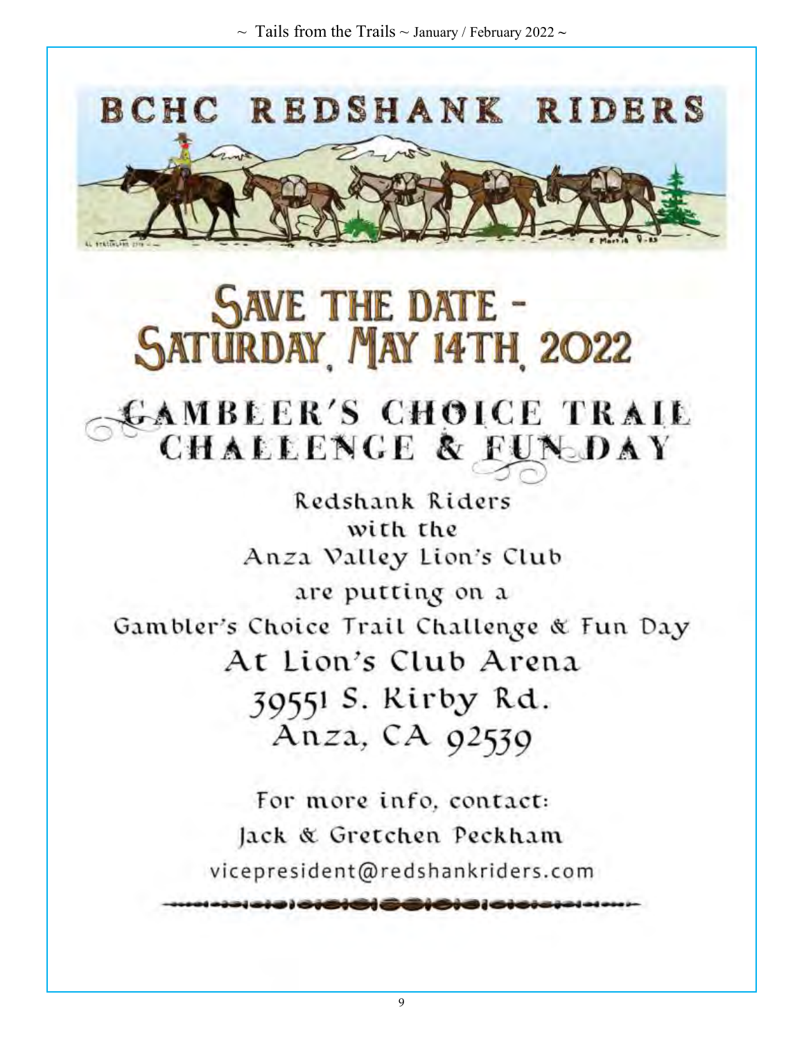

# **SAVE THE DATE -<br>SATURDAY MAY 14TH 2022**

# GAMBLER'S CHOICE TRAIL CHALLENGE & FUNDAY

Redshank Riders with the Anza Valley Lion's Club are putting on a Gambler's Choice Trail Challenge & Fun Day At Lion's Club Arena 39551 S. Rirby Rd. Anza, CA 92539

> For more info. contact: Jack & Gretchen Peckham vicepresident@redshankriders.com

> > 9

) <del>o iSIS| SCIOIC</del>